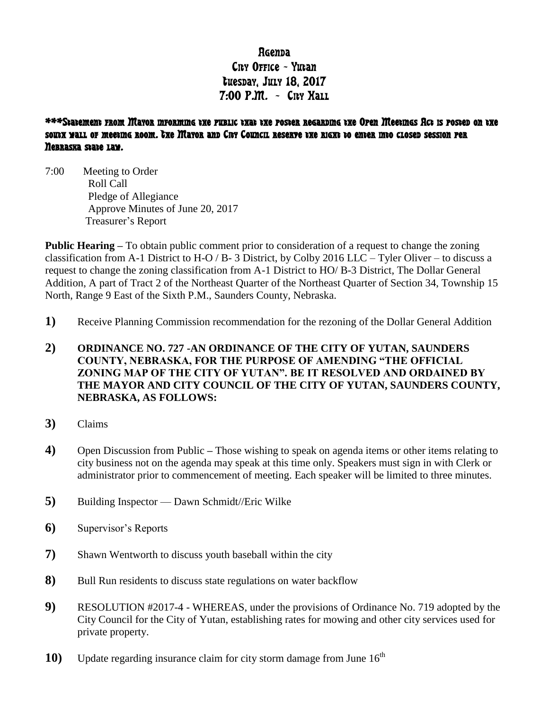# Rgenna City Office - Yutan tuesday, July 18, 2017  $7:00$  P.M. - Cny Hall

## \*\*\*Statement from Mayor informing the public that the poster regarding the Open Meetings Act is posted on the south wall of meeting room. The Mayor and City Council reserve the right to enter into closed session per Nebraska state law.

7:00 Meeting to Order Roll Call Pledge of Allegiance Approve Minutes of June 20, 2017 Treasurer's Report

**Public Hearing** – To obtain public comment prior to consideration of a request to change the zoning classification from A-1 District to H-O / B- 3 District, by Colby 2016 LLC – Tyler Oliver – to discuss a request to change the zoning classification from A-1 District to HO/ B-3 District, The Dollar General Addition, A part of Tract 2 of the Northeast Quarter of the Northeast Quarter of Section 34, Township 15 North, Range 9 East of the Sixth P.M., Saunders County, Nebraska.

**1)** Receive Planning Commission recommendation for the rezoning of the Dollar General Addition

## **2) ORDINANCE NO. 727 -AN ORDINANCE OF THE CITY OF YUTAN, SAUNDERS COUNTY, NEBRASKA, FOR THE PURPOSE OF AMENDING "THE OFFICIAL ZONING MAP OF THE CITY OF YUTAN". BE IT RESOLVED AND ORDAINED BY THE MAYOR AND CITY COUNCIL OF THE CITY OF YUTAN, SAUNDERS COUNTY, NEBRASKA, AS FOLLOWS:**

- **3)** Claims
- **4)** Open Discussion from Public **–** Those wishing to speak on agenda items or other items relating to city business not on the agenda may speak at this time only. Speakers must sign in with Clerk or administrator prior to commencement of meeting. Each speaker will be limited to three minutes.
- **5)** Building Inspector Dawn Schmidt//Eric Wilke
- **6)** Supervisor's Reports
- **7)** Shawn Wentworth to discuss youth baseball within the city
- **8)** Bull Run residents to discuss state regulations on water backflow
- **9)** RESOLUTION #2017-4 WHEREAS, under the provisions of Ordinance No. 719 adopted by the City Council for the City of Yutan, establishing rates for mowing and other city services used for private property.
- **10)** Update regarding insurance claim for city storm damage from June 16<sup>th</sup>